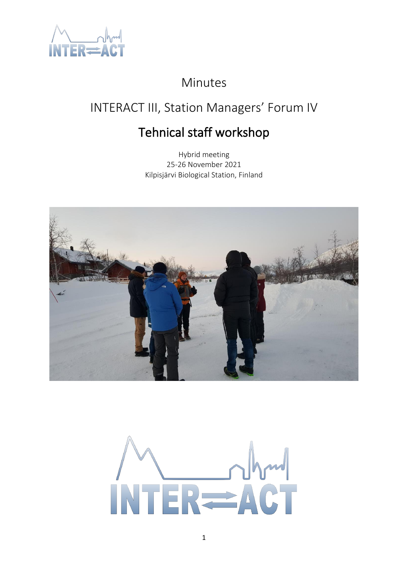

# Minutes

# INTERACT III, Station Managers' Forum IV

# Tehnical staff workshop

Hybrid meeting 25-26 November 2021 Kilpisjärvi Biological Station, Finland



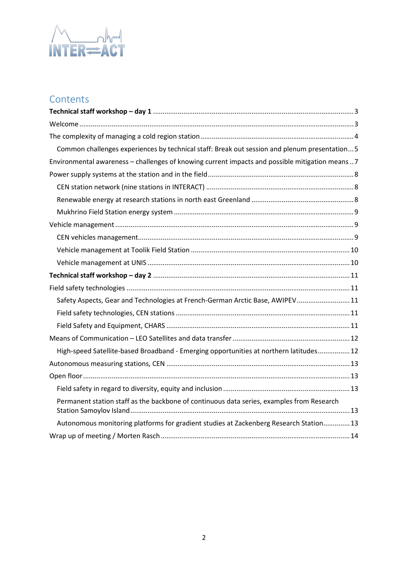

# **Contents**

| Common challenges experiences by technical staff: Break out session and plenum presentation 5    |  |
|--------------------------------------------------------------------------------------------------|--|
| Environmental awareness - challenges of knowing current impacts and possible mitigation means  7 |  |
|                                                                                                  |  |
|                                                                                                  |  |
|                                                                                                  |  |
|                                                                                                  |  |
|                                                                                                  |  |
|                                                                                                  |  |
|                                                                                                  |  |
|                                                                                                  |  |
|                                                                                                  |  |
|                                                                                                  |  |
| Safety Aspects, Gear and Technologies at French-German Arctic Base, AWIPEV 11                    |  |
|                                                                                                  |  |
|                                                                                                  |  |
|                                                                                                  |  |
| High-speed Satellite-based Broadband - Emerging opportunities at northern latitudes 12           |  |
|                                                                                                  |  |
|                                                                                                  |  |
|                                                                                                  |  |
| Permanent station staff as the backbone of continuous data series, examples from Research        |  |
| Autonomous monitoring platforms for gradient studies at Zackenberg Research Station 13           |  |
|                                                                                                  |  |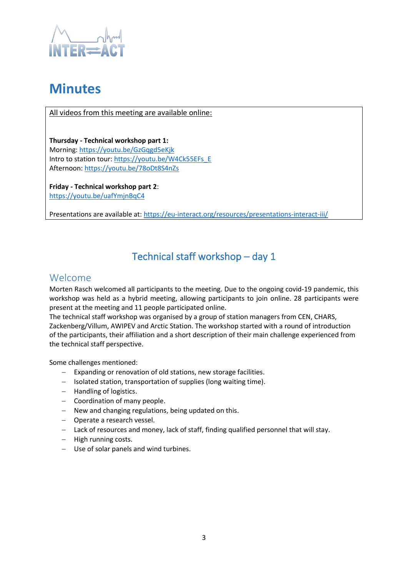

# **Minutes**

All videos from this meeting are available online:

**Thursday - Technical workshop part 1:** Morning[: https://youtu.be/GzGqgd5eKjk](https://youtu.be/GzGqgd5eKjk) Intro to station tour[: https://youtu.be/W4Ck55EFs\\_E](https://youtu.be/W4Ck55EFs_E) Afternoon:<https://youtu.be/78oDt8S4nZs>

**Friday - Technical workshop part 2**: <https://youtu.be/uafYmjnBqC4>

<span id="page-2-0"></span>Presentations are available at[: https://eu-interact.org/resources/presentations-interact-iii/](https://eu-interact.org/resources/presentations-interact-iii/)

# Technical staff workshop – day 1

## <span id="page-2-1"></span>Welcome

Morten Rasch welcomed all participants to the meeting. Due to the ongoing covid-19 pandemic, this workshop was held as a hybrid meeting, allowing participants to join online. 28 participants were present at the meeting and 11 people participated online.

The technical staff workshop was organised by a group of station managers from CEN, CHARS, Zackenberg/Villum, AWIPEV and Arctic Station. The workshop started with a round of introduction of the participants, their affiliation and a short description of their main challenge experienced from the technical staff perspective.

Some challenges mentioned:

- − Expanding or renovation of old stations, new storage facilities.
- − Isolated station, transportation of supplies (long waiting time).
- − Handling of logistics.
- − Coordination of many people.
- − New and changing regulations, being updated on this.
- − Operate a research vessel.
- − Lack of resources and money, lack of staff, finding qualified personnel that will stay.
- − High running costs.
- − Use of solar panels and wind turbines.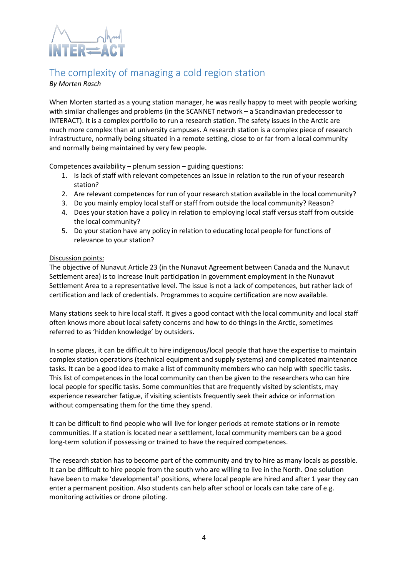

## <span id="page-3-0"></span>The complexity of managing a cold region station

## *By Morten Rasch*

When Morten started as a young station manager, he was really happy to meet with people working with similar challenges and problems (in the SCANNET network – a Scandinavian predecessor to INTERACT). It is a complex portfolio to run a research station. The safety issues in the Arctic are much more complex than at university campuses. A research station is a complex piece of research infrastructure, normally being situated in a remote setting, close to or far from a local community and normally being maintained by very few people.

Competences availability – plenum session – guiding questions:

- 1. Is lack of staff with relevant competences an issue in relation to the run of your research station?
- 2. Are relevant competences for run of your research station available in the local community?
- 3. Do you mainly employ local staff or staff from outside the local community? Reason?
- 4. Does your station have a policy in relation to employing local staff versus staff from outside the local community?
- 5. Do your station have any policy in relation to educating local people for functions of relevance to your station?

## Discussion points:

The objective of Nunavut Article 23 (in the Nunavut Agreement between Canada and the Nunavut Settlement area) is to increase Inuit participation in government employment in the Nunavut Settlement Area to a representative level. The issue is not a lack of competences, but rather lack of certification and lack of credentials. Programmes to acquire certification are now available.

Many stations seek to hire local staff. It gives a good contact with the local community and local staff often knows more about local safety concerns and how to do things in the Arctic, sometimes referred to as 'hidden knowledge' by outsiders.

In some places, it can be difficult to hire indigenous/local people that have the expertise to maintain complex station operations (technical equipment and supply systems) and complicated maintenance tasks. It can be a good idea to make a list of community members who can help with specific tasks. This list of competences in the local community can then be given to the researchers who can hire local people for specific tasks. Some communities that are frequently visited by scientists, may experience researcher fatigue, if visiting scientists frequently seek their advice or information without compensating them for the time they spend.

It can be difficult to find people who will live for longer periods at remote stations or in remote communities. If a station is located near a settlement, local community members can be a good long-term solution if possessing or trained to have the required competences.

The research station has to become part of the community and try to hire as many locals as possible. It can be difficult to hire people from the south who are willing to live in the North. One solution have been to make 'developmental' positions, where local people are hired and after 1 year they can enter a permanent position. Also students can help after school or locals can take care of e.g. monitoring activities or drone piloting.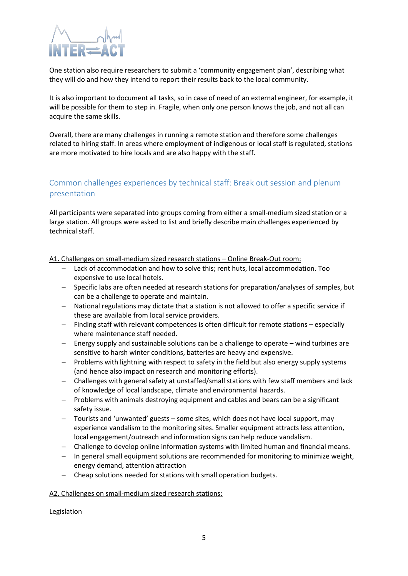

One station also require researchers to submit a 'community engagement plan', describing what they will do and how they intend to report their results back to the local community.

It is also important to document all tasks, so in case of need of an external engineer, for example, it will be possible for them to step in. Fragile, when only one person knows the job, and not all can acquire the same skills.

Overall, there are many challenges in running a remote station and therefore some challenges related to hiring staff. In areas where employment of indigenous or local staff is regulated, stations are more motivated to hire locals and are also happy with the staff.

## <span id="page-4-0"></span>Common challenges experiences by technical staff: Break out session and plenum presentation

All participants were separated into groups coming from either a small-medium sized station or a large station. All groups were asked to list and briefly describe main challenges experienced by technical staff.

A1. Challenges on small-medium sized research stations – Online Break-Out room:

- − Lack of accommodation and how to solve this; rent huts, local accommodation. Too expensive to use local hotels.
- − Specific labs are often needed at research stations for preparation/analyses of samples, but can be a challenge to operate and maintain.
- − National regulations may dictate that a station is not allowed to offer a specific service if these are available from local service providers.
- − Finding staff with relevant competences is often difficult for remote stations especially where maintenance staff needed.
- − Energy supply and sustainable solutions can be a challenge to operate wind turbines are sensitive to harsh winter conditions, batteries are heavy and expensive.
- − Problems with lightning with respect to safety in the field but also energy supply systems (and hence also impact on research and monitoring efforts).
- − Challenges with general safety at unstaffed/small stations with few staff members and lack of knowledge of local landscape, climate and environmental hazards.
- − Problems with animals destroying equipment and cables and bears can be a significant safety issue.
- − Tourists and 'unwanted' guests some sites, which does not have local support, may experience vandalism to the monitoring sites. Smaller equipment attracts less attention, local engagement/outreach and information signs can help reduce vandalism.
- − Challenge to develop online information systems with limited human and financial means.
- − In general small equipment solutions are recommended for monitoring to minimize weight, energy demand, attention attraction
- − Cheap solutions needed for stations with small operation budgets.

### A2. Challenges on small-medium sized research stations:

Legislation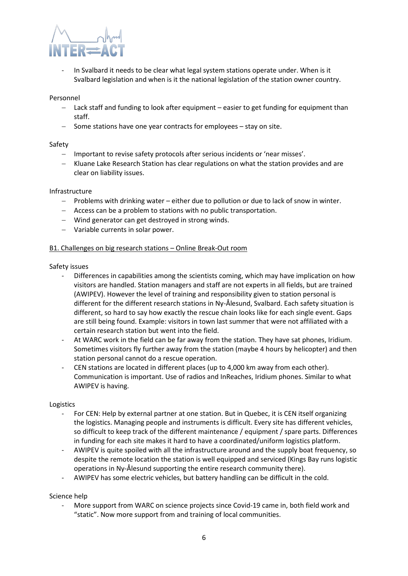

In Svalbard it needs to be clear what legal system stations operate under. When is it Svalbard legislation and when is it the national legislation of the station owner country.

#### Personnel

- Lack staff and funding to look after equipment easier to get funding for equipment than staff.
- − Some stations have one year contracts for employees stay on site.

### Safety

- − Important to revise safety protocols after serious incidents or 'near misses'.
- − Kluane Lake Research Station has clear regulations on what the station provides and are clear on liability issues.

#### Infrastructure

- − Problems with drinking water either due to pollution or due to lack of snow in winter.
- − Access can be a problem to stations with no public transportation.
- − Wind generator can get destroyed in strong winds.
- − Variable currents in solar power.

### B1. Challenges on big research stations – Online Break-Out room

#### Safety issues

- Differences in capabilities among the scientists coming, which may have implication on how visitors are handled. Station managers and staff are not experts in all fields, but are trained (AWIPEV). However the level of training and responsibility given to station personal is different for the different research stations in Ny-Ålesund, Svalbard. Each safety situation is different, so hard to say how exactly the rescue chain looks like for each single event. Gaps are still being found. Example: visitors in town last summer that were not affiliated with a certain research station but went into the field.
- At WARC work in the field can be far away from the station. They have sat phones, Iridium. Sometimes visitors fly further away from the station (maybe 4 hours by helicopter) and then station personal cannot do a rescue operation.
- CEN stations are located in different places (up to 4,000 km away from each other). Communication is important. Use of radios and InReaches, Iridium phones. Similar to what AWIPEV is having.

#### Logistics

- For CEN: Help by external partner at one station. But in Quebec, it is CEN itself organizing the logistics. Managing people and instruments is difficult. Every site has different vehicles, so difficult to keep track of the different maintenance / equipment / spare parts. Differences in funding for each site makes it hard to have a coordinated/uniform logistics platform.
- AWIPEV is quite spoiled with all the infrastructure around and the supply boat frequency, so despite the remote location the station is well equipped and serviced (Kings Bay runs logistic operations in Ny-Ålesund supporting the entire research community there).
- AWIPEV has some electric vehicles, but battery handling can be difficult in the cold.

### Science help

More support from WARC on science projects since Covid-19 came in, both field work and "static". Now more support from and training of local communities.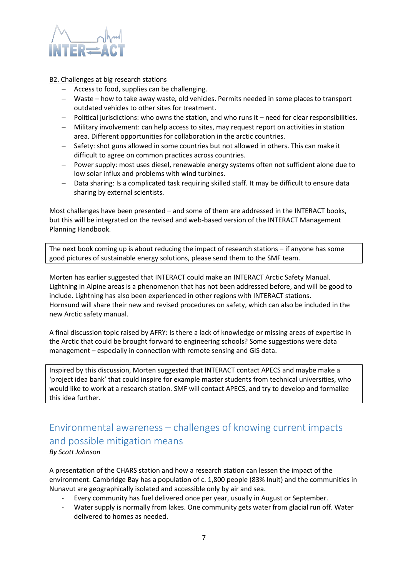

### B2. Challenges at big research stations

- − Access to food, supplies can be challenging.
- − Waste how to take away waste, old vehicles. Permits needed in some places to transport outdated vehicles to other sites for treatment.
- − Political jurisdictions: who owns the station, and who runs it need for clear responsibilities.
- − Military involvement: can help access to sites, may request report on activities in station area. Different opportunities for collaboration in the arctic countries.
- − Safety: shot guns allowed in some countries but not allowed in others. This can make it difficult to agree on common practices across countries.
- − Power supply: most uses diesel, renewable energy systems often not sufficient alone due to low solar influx and problems with wind turbines.
- − Data sharing: Is a complicated task requiring skilled staff. It may be difficult to ensure data sharing by external scientists.

Most challenges have been presented – and some of them are addressed in the INTERACT books, but this will be integrated on the revised and web-based version of the INTERACT Management Planning Handbook.

The next book coming up is about reducing the impact of research stations – if anyone has some good pictures of sustainable energy solutions, please send them to the SMF team.

Morten has earlier suggested that INTERACT could make an INTERACT Arctic Safety Manual. Lightning in Alpine areas is a phenomenon that has not been addressed before, and will be good to include. Lightning has also been experienced in other regions with INTERACT stations. Hornsund will share their new and revised procedures on safety, which can also be included in the new Arctic safety manual.

A final discussion topic raised by AFRY: Is there a lack of knowledge or missing areas of expertise in the Arctic that could be brought forward to engineering schools? Some suggestions were data management – especially in connection with remote sensing and GIS data.

Inspired by this discussion, Morten suggested that INTERACT contact APECS and maybe make a 'project idea bank' that could inspire for example master students from technical universities, who would like to work at a research station. SMF will contact APECS, and try to develop and formalize this idea further.

# <span id="page-6-0"></span>Environmental awareness – challenges of knowing current impacts and possible mitigation means

## *By Scott Johnson*

A presentation of the CHARS station and how a research station can lessen the impact of the environment. Cambridge Bay has a population of c. 1,800 people (83% Inuit) and the communities in Nunavut are geographically isolated and accessible only by air and sea.

- Every community has fuel delivered once per year, usually in August or September.
- Water supply is normally from lakes. One community gets water from glacial run off. Water delivered to homes as needed.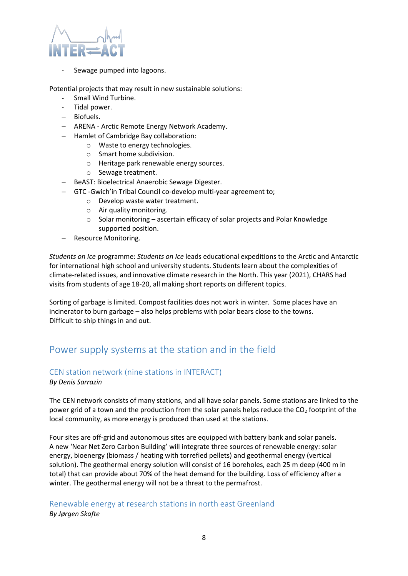

Sewage pumped into lagoons.

Potential projects that may result in new sustainable solutions:

- Small Wind Turbine.
- Tidal power.
- − Biofuels.
- − ARENA Arctic Remote Energy Network Academy.
- − Hamlet of Cambridge Bay collaboration:
	- o Waste to energy technologies.
	- o Smart home subdivision.
	- o Heritage park renewable energy sources.
	- o Sewage treatment.
- − BeAST: Bioelectrical Anaerobic Sewage Digester.
- − GTC -Gwich'in Tribal Council co-develop multi-year agreement to;
	- o Develop waste water treatment.
	- o Air quality monitoring.
	- o Solar monitoring ascertain efficacy of solar projects and Polar Knowledge supported position.
- − Resource Monitoring.

*Students on Ice* programme: *Students on Ice* leads educational expeditions to the Arctic and Antarctic for international high school and university students. Students learn about the complexities of climate-related issues, and innovative climate research in the North. This year (2021), CHARS had visits from students of age 18-20, all making short reports on different topics.

Sorting of garbage is limited. Compost facilities does not work in winter. Some places have an incinerator to burn garbage – also helps problems with polar bears close to the towns. Difficult to ship things in and out.

## <span id="page-7-0"></span>Power supply systems at the station and in the field

## <span id="page-7-1"></span>CEN station network (nine stations in INTERACT)

*By Denis Sarrazin*

The CEN network consists of many stations, and all have solar panels. Some stations are linked to the power grid of a town and the production from the solar panels helps reduce the  $CO<sub>2</sub>$  footprint of the local community, as more energy is produced than used at the stations.

Four sites are off-grid and autonomous sites are equipped with battery bank and solar panels. A new 'Near Net Zero Carbon Building' will integrate three sources of renewable energy: solar energy, bioenergy (biomass / heating with torrefied pellets) and geothermal energy (vertical solution). The geothermal energy solution will consist of 16 boreholes, each 25 m deep (400 m in total) that can provide about 70% of the heat demand for the building. Loss of efficiency after a winter. The geothermal energy will not be a threat to the permafrost.

## <span id="page-7-2"></span>Renewable energy at research stations in north east Greenland *By Jørgen Skafte*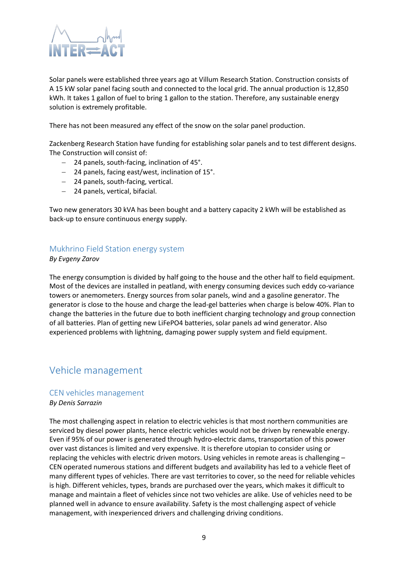

Solar panels were established three years ago at Villum Research Station. Construction consists of A 15 kW solar panel facing south and connected to the local grid. The annual production is 12,850 kWh. It takes 1 gallon of fuel to bring 1 gallon to the station. Therefore, any sustainable energy solution is extremely profitable.

There has not been measured any effect of the snow on the solar panel production.

Zackenberg Research Station have funding for establishing solar panels and to test different designs. The Construction will consist of:

- − 24 panels, south-facing, inclination of 45°.
- − 24 panels, facing east/west, inclination of 15°.
- − 24 panels, south-facing, vertical.
- − 24 panels, vertical, bifacial.

Two new generators 30 kVA has been bought and a battery capacity 2 kWh will be established as back-up to ensure continuous energy supply.

## <span id="page-8-0"></span>Mukhrino Field Station energy system

*By Evgeny Zarov*

The energy consumption is divided by half going to the house and the other half to field equipment. Most of the devices are installed in peatland, with energy consuming devices such eddy co-variance towers or anemometers. Energy sources from solar panels, wind and a gasoline generator. The generator is close to the house and charge the lead-gel batteries when charge is below 40%. Plan to change the batteries in the future due to both inefficient charging technology and group connection of all batteries. Plan of getting new LiFePO4 batteries, solar panels ad wind generator. Also experienced problems with lightning, damaging power supply system and field equipment.

## <span id="page-8-1"></span>Vehicle management

### <span id="page-8-2"></span>CEN vehicles management

*By Denis Sarrazin*

The most challenging aspect in relation to electric vehicles is that most northern communities are serviced by diesel power plants, hence electric vehicles would not be driven by renewable energy. Even if 95% of our power is generated through hydro-electric dams, transportation of this power over vast distances is limited and very expensive. It is therefore utopian to consider using or replacing the vehicles with electric driven motors. Using vehicles in remote areas is challenging – CEN operated numerous stations and different budgets and availability has led to a vehicle fleet of many different types of vehicles. There are vast territories to cover, so the need for reliable vehicles is high. Different vehicles, types, brands are purchased over the years, which makes it difficult to manage and maintain a fleet of vehicles since not two vehicles are alike. Use of vehicles need to be planned well in advance to ensure availability. Safety is the most challenging aspect of vehicle management, with inexperienced drivers and challenging driving conditions.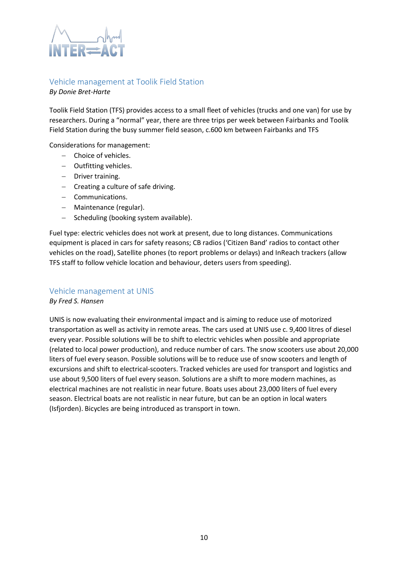

## <span id="page-9-0"></span>Vehicle management at Toolik Field Station

*By Donie Bret-Harte*

Toolik Field Station (TFS) provides access to a small fleet of vehicles (trucks and one van) for use by researchers. During a "normal" year, there are three trips per week between Fairbanks and Toolik Field Station during the busy summer field season, c.600 km between Fairbanks and TFS

Considerations for management:

- − Choice of vehicles.
- − Outfitting vehicles.
- − Driver training.
- − Creating a culture of safe driving.
- − Communications.
- − Maintenance (regular).
- − Scheduling (booking system available).

Fuel type: electric vehicles does not work at present, due to long distances. Communications equipment is placed in cars for safety reasons; CB radios ('Citizen Band' radios to contact other vehicles on the road), Satellite phones (to report problems or delays) and InReach trackers (allow TFS staff to follow vehicle location and behaviour, deters users from speeding).

## <span id="page-9-1"></span>Vehicle management at UNIS

*By Fred S. Hansen*

UNIS is now evaluating their environmental impact and is aiming to reduce use of motorized transportation as well as activity in remote areas. The cars used at UNIS use c. 9,400 litres of diesel every year. Possible solutions will be to shift to electric vehicles when possible and appropriate (related to local power production), and reduce number of cars. The snow scooters use about 20,000 liters of fuel every season. Possible solutions will be to reduce use of snow scooters and length of excursions and shift to electrical-scooters. Tracked vehicles are used for transport and logistics and use about 9,500 liters of fuel every season. Solutions are a shift to more modern machines, as electrical machines are not realistic in near future. Boats uses about 23,000 liters of fuel every season. Electrical boats are not realistic in near future, but can be an option in local waters (Isfjorden). Bicycles are being introduced as transport in town.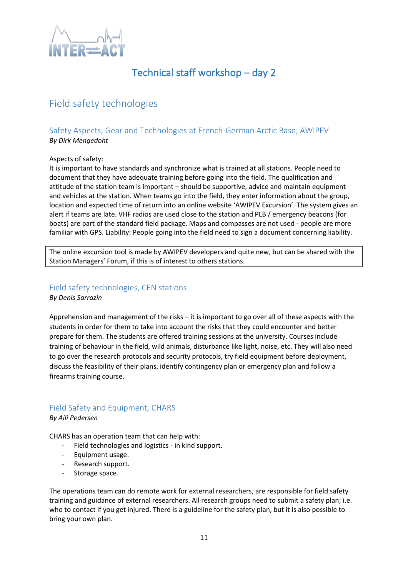

# Technical staff workshop – day 2

# <span id="page-10-1"></span><span id="page-10-0"></span>Field safety technologies

## <span id="page-10-2"></span>Safety Aspects, Gear and Technologies at French-German Arctic Base, AWIPEV *By Dirk Mengedoht*

### Aspects of safety:

It is important to have standards and synchronize what is trained at all stations. People need to document that they have adequate training before going into the field. The qualification and attitude of the station team is important – should be supportive, advice and maintain equipment and vehicles at the station. When teams go into the field, they enter information about the group, location and expected time of return into an online website 'AWIPEV Excursion'. The system gives an alert if teams are late. VHF radios are used close to the station and PLB / emergency beacons (for boats) are part of the standard field package. Maps and compasses are not used - people are more familiar with GPS. Liability: People going into the field need to sign a document concerning liability.

The online excursion tool is made by AWIPEV developers and quite new, but can be shared with the Station Managers' Forum, if this is of interest to others stations.

## <span id="page-10-3"></span>Field safety technologies, CEN stations *By Denis Sarrazin*

Apprehension and management of the risks – it is important to go over all of these aspects with the students in order for them to take into account the risks that they could encounter and better prepare for them. The students are offered training sessions at the university. Courses include training of behaviour in the field, wild animals, disturbance like light, noise, etc. They will also need to go over the research protocols and security protocols, try field equipment before deployment, discuss the feasibility of their plans, identify contingency plan or emergency plan and follow a firearms training course.

## <span id="page-10-4"></span>Field Safety and Equipment, CHARS *By Aili Pedersen*

CHARS has an operation team that can help with:

- Field technologies and logistics in kind support.
- Equipment usage.
- Research support.
- Storage space.

The operations team can do remote work for external researchers, are responsible for field safety training and guidance of external researchers. All research groups need to submit a safety plan; i.e. who to contact if you get injured. There is a guideline for the safety plan, but it is also possible to bring your own plan.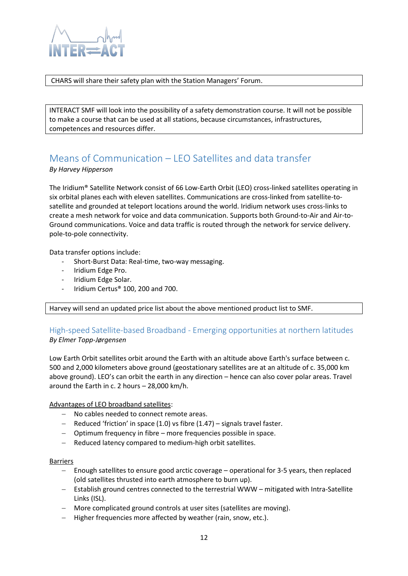

CHARS will share their safety plan with the Station Managers' Forum.

INTERACT SMF will look into the possibility of a safety demonstration course. It will not be possible to make a course that can be used at all stations, because circumstances, infrastructures, competences and resources differ.

# <span id="page-11-0"></span>Means of Communication – LEO Satellites and data transfer

*By Harvey Hipperson*

The Iridium® Satellite Network consist of 66 Low-Earth Orbit (LEO) cross-linked satellites operating in six orbital planes each with eleven satellites. Communications are cross-linked from satellite-tosatellite and grounded at teleport locations around the world. Iridium network uses cross-links to create a mesh network for voice and data communication. Supports both Ground-to-Air and Air-to-Ground communications. Voice and data traffic is routed through the network for service delivery. pole-to-pole connectivity.

Data transfer options include:

- Short-Burst Data: Real-time, two-way messaging.
- Iridium Edge Pro.
- Iridium Edge Solar.
- Iridium Certus® 100, 200 and 700.

Harvey will send an updated price list about the above mentioned product list to SMF.

## <span id="page-11-1"></span>High-speed Satellite-based Broadband - Emerging opportunities at northern latitudes *By Elmer Topp-Jørgensen*

Low Earth Orbit satellites orbit around the Earth with an altitude above Earth's surface between c. 500 and 2,000 kilometers above ground (geostationary satellites are at an altitude of c. 35,000 km above ground). LEO's can orbit the earth in any direction – hence can also cover polar areas. Travel around the Earth in c. 2 hours – 28,000 km/h.

Advantages of LEO broadband satellites:

- − No cables needed to connect remote areas.
- − Reduced 'friction' in space (1.0) vs fibre (1.47) signals travel faster.
- − Optimum frequency in fibre more frequencies possible in space.
- − Reduced latency compared to medium-high orbit satellites.

### Barriers

- − Enough satellites to ensure good arctic coverage operational for 3-5 years, then replaced (old satellites thrusted into earth atmosphere to burn up).
- − Establish ground centres connected to the terrestrial WWW mitigated with Intra-Satellite Links (ISL).
- − More complicated ground controls at user sites (satellites are moving).
- − Higher frequencies more affected by weather (rain, snow, etc.).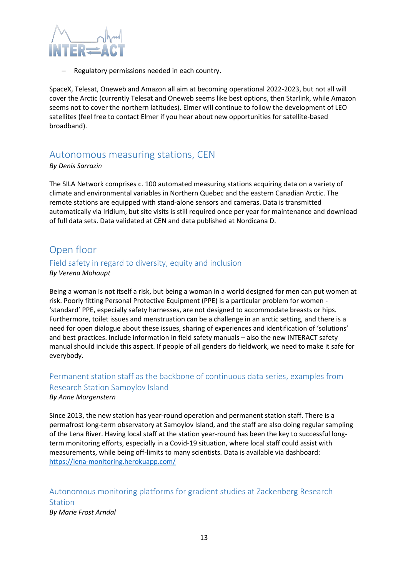

Regulatory permissions needed in each country.

SpaceX, Telesat, Oneweb and Amazon all aim at becoming operational 2022-2023, but not all will cover the Arctic (currently Telesat and Oneweb seems like best options, then Starlink, while Amazon seems not to cover the northern latitudes). Elmer will continue to follow the development of LEO satellites (feel free to contact Elmer if you hear about new opportunities for satellite-based broadband).

## <span id="page-12-0"></span>Autonomous measuring stations, CEN

## *By Denis Sarrazin*

The SILA Network comprises c. 100 automated measuring stations acquiring data on a variety of climate and environmental variables in Northern Quebec and the eastern Canadian Arctic. The remote stations are equipped with stand-alone sensors and cameras. Data is transmitted automatically via Iridium, but site visits is still required once per year for maintenance and download of full data sets. Data validated at CEN and data published at Nordicana D.

## <span id="page-12-1"></span>Open floor

## <span id="page-12-2"></span>Field safety in regard to diversity, equity and inclusion *By Verena Mohaupt*

Being a woman is not itself a risk, but being a woman in a world designed for men can put women at risk. Poorly fitting Personal Protective Equipment (PPE) is a particular problem for women - 'standard' PPE, especially safety harnesses, are not designed to accommodate breasts or hips. Furthermore, toilet issues and menstruation can be a challenge in an arctic setting, and there is a need for open dialogue about these issues, sharing of experiences and identification of 'solutions' and best practices. Include information in field safety manuals – also the new INTERACT safety manual should include this aspect. If people of all genders do fieldwork, we need to make it safe for everybody.

# <span id="page-12-3"></span>Permanent station staff as the backbone of continuous data series, examples from Research Station Samoylov Island

## *By Anne Morgenstern*

Since 2013, the new station has year-round operation and permanent station staff. There is a permafrost long-term observatory at Samoylov Island, and the staff are also doing regular sampling of the Lena River. Having local staff at the station year-round has been the key to successful longterm monitoring efforts, especially in a Covid-19 situation, where local staff could assist with measurements, while being off-limits to many scientists. Data is available via dashboard: <https://lena-monitoring.herokuapp.com/>

# <span id="page-12-4"></span>Autonomous monitoring platforms for gradient studies at Zackenberg Research Station

*By Marie Frost Arndal*